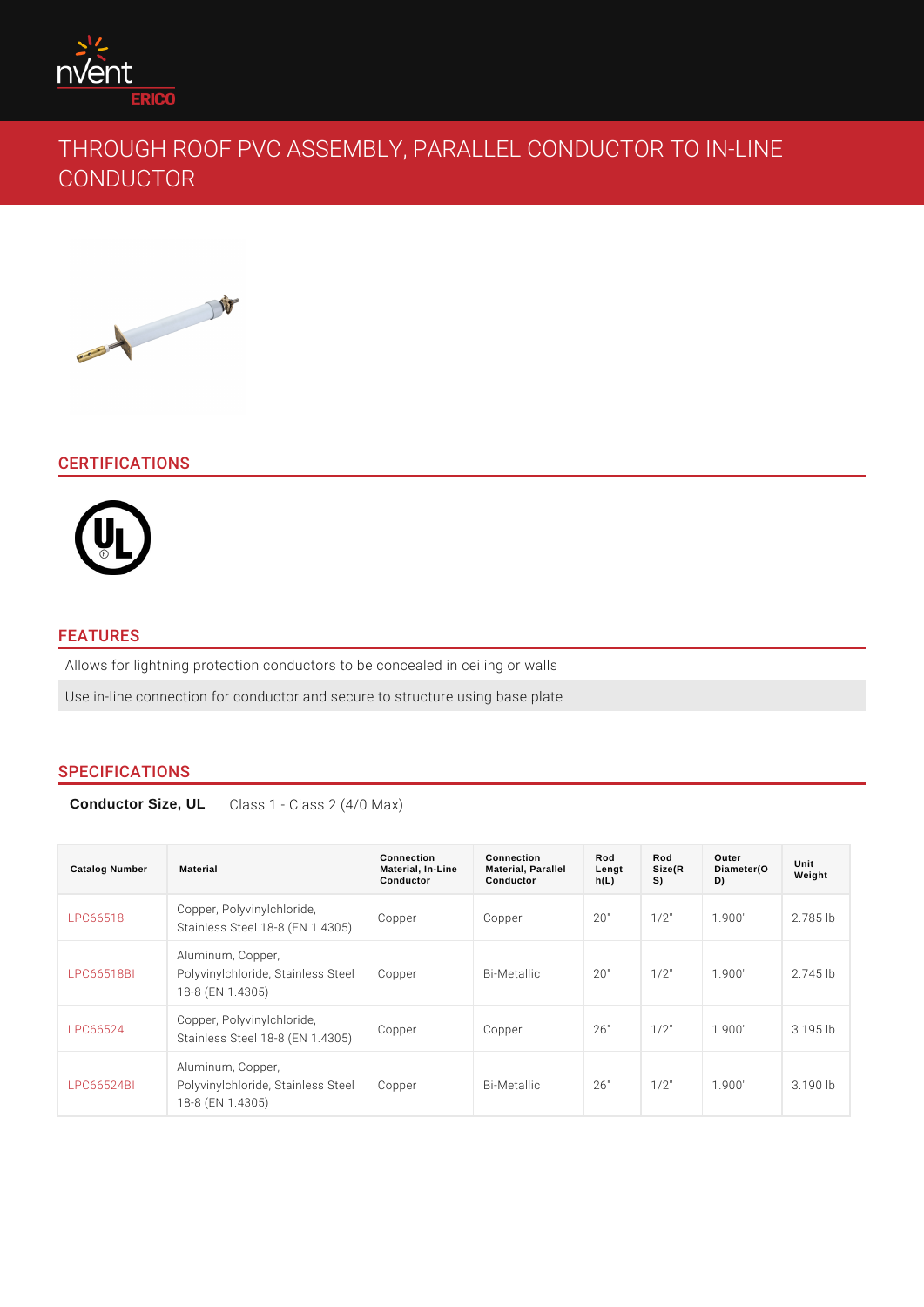# THROUGH ROOF PVC ASSEMBLY, PARALLEL CONDU CONDUCTOR

## CERTIFICATIONS

## FEATURES

Allows for lightning protection conductors to be concealed in ceiling or walls Use in-line connection for conductor and secure to structure using base plate

## SPECIFICATIONS

Conductor Size, UL Class 1 - Class 2 (4/0 Max)

| Catalog Number | Material                                                                                             | Connection<br>Material, In-Line<br>Conductor | Connection<br>Material, Parallel<br>Conductor | Rod<br>Lengt<br>h(L) | Rod<br>Size(R<br>S) | Outer<br>Diameter(O<br>D) | Unit<br>Weight |  |
|----------------|------------------------------------------------------------------------------------------------------|----------------------------------------------|-----------------------------------------------|----------------------|---------------------|---------------------------|----------------|--|
| LPC66518       | Copper, Polyvinylchloride,<br>Stainless Steel 18-8 (Copper, 4305)                                    |                                              | Copper                                        | 20"                  | $1/2$ "             | 1.900"                    | $2.785$ Ib     |  |
|                | Aluminum, Copper,<br>LPC66518BI Polyvinylchloride, StaiCholopserSteelBi-Metallic<br>18-8 (EN 1.4305) |                                              |                                               | 20"                  | $1/2$ "             | 1.900"                    | $2.745$ Ib     |  |
| LPC66524       | Copper, Polyvinylchloride,<br>Stainless Steel 18-8 (COPP 1.4305)                                     |                                              | Copper                                        | 26"                  | $1/2$ "             | 1.900"                    | $3.195$ Ib     |  |
|                | Aluminum, Copper,<br>LPC66524BI Polyvinylchloride, StaiCholopserSteelBi-Metallic<br>18-8 (EN 1.4305) |                                              |                                               | 26"                  | $1/2$ "             | 1.900"                    | $3.190$ lb     |  |